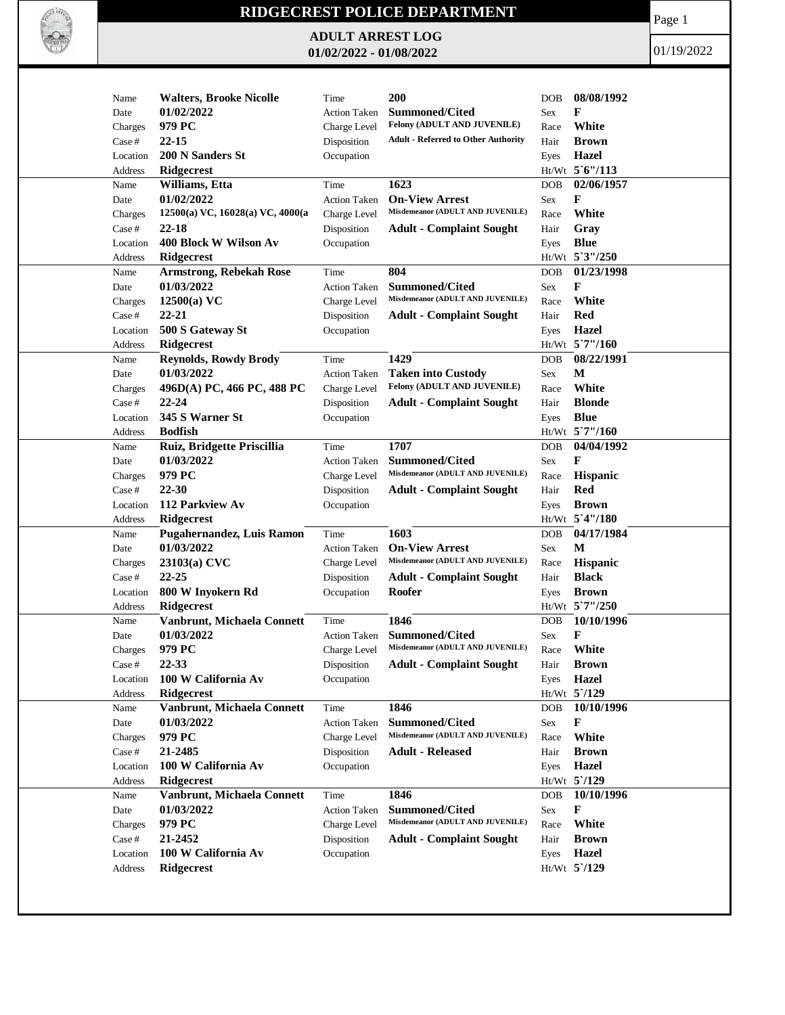

## **RIDGECREST POLICE DEPARTMENT**

**ADULT ARREST LOG 01/02/2022 - 01/08/2022**

Page 1

01/19/2022

| Name         | <b>Walters, Brooke Nicolle</b>               | Time                | 200                                                      | 08/08/1992<br><b>DOB</b>              |
|--------------|----------------------------------------------|---------------------|----------------------------------------------------------|---------------------------------------|
| Date         | 01/02/2022                                   | <b>Action Taken</b> | Summoned/Cited                                           | F<br>Sex                              |
| Charges      | 979 PC                                       | Charge Level        | Felony (ADULT AND JUVENILE)                              | White<br>Race                         |
| Case #       | $22 - 15$                                    | Disposition         | <b>Adult - Referred to Other Authority</b>               | Hair<br><b>Brown</b>                  |
|              | 200 N Sanders St                             | Occupation          |                                                          | Hazel                                 |
| Location     |                                              |                     |                                                          | Eyes<br>Ht/Wt 5'6"/113                |
| Address      | Ridgecrest<br>Williams, Etta                 | Time                | 1623                                                     | 02/06/1957<br><b>DOB</b>              |
| Name<br>Date | 01/02/2022                                   | <b>Action Taken</b> | <b>On-View Arrest</b>                                    | F<br>Sex                              |
|              | 12500(a) VC, 16028(a) VC, 4000(a             |                     | Misdemeanor (ADULT AND JUVENILE)                         | White                                 |
| Charges      |                                              | Charge Level        |                                                          | Race                                  |
| Case #       | 22-18<br>400 Block W Wilson Av               | Disposition         | <b>Adult - Complaint Sought</b>                          | Gray<br>Hair                          |
| Location     |                                              | Occupation          |                                                          | <b>Blue</b><br>Eyes<br>Ht/Wt 5'3"/250 |
| Address      | Ridgecrest                                   |                     | 804                                                      | 01/23/1998                            |
| Name         | <b>Armstrong, Rebekah Rose</b><br>01/03/2022 | Time                | <b>Summoned/Cited</b>                                    | <b>DOB</b><br>F                       |
| Date         | $12500(a)$ VC                                | <b>Action Taken</b> | Misdemeanor (ADULT AND JUVENILE)                         | Sex<br>White<br>Race                  |
| Charges      | $22 - 21$                                    | Charge Level        |                                                          | <b>Red</b>                            |
| Case #       |                                              | Disposition         | <b>Adult - Complaint Sought</b>                          | Hair                                  |
| Location     | 500 S Gateway St                             | Occupation          |                                                          | <b>Hazel</b><br>Eyes                  |
| Address      | <b>Ridgecrest</b>                            |                     |                                                          | $Ht/Wt$ 5 7"/160                      |
| Name         | <b>Reynolds, Rowdy Brody</b>                 | Time                | 1429                                                     | 08/22/1991<br><b>DOB</b>              |
| Date         | 01/03/2022                                   | <b>Action Taken</b> | <b>Taken into Custody</b><br>Felony (ADULT AND JUVENILE) | M<br>Sex                              |
| Charges      | 496D(A) PC, 466 PC, 488 PC                   | Charge Level        |                                                          | White<br>Race                         |
| Case #       | $22 - 24$                                    | Disposition         | <b>Adult - Complaint Sought</b>                          | <b>Blonde</b><br>Hair                 |
| Location     | 345 S Warner St                              | Occupation          |                                                          | <b>Blue</b><br>Eyes                   |
| Address      | <b>Bodfish</b>                               |                     |                                                          | Ht/Wt 5`7"/160                        |
| Name         | Ruiz, Bridgette Priscillia                   | Time                | 1707                                                     | 04/04/1992<br><b>DOB</b>              |
| Date         | 01/03/2022                                   | <b>Action Taken</b> | <b>Summoned/Cited</b>                                    | F<br>Sex                              |
| Charges      | 979 PC                                       | Charge Level        | Misdemeanor (ADULT AND JUVENILE)                         | <b>Hispanic</b><br>Race               |
| Case #       | $22 - 30$                                    | Disposition         | <b>Adult - Complaint Sought</b>                          | <b>Red</b><br>Hair                    |
| Location     | 112 Parkview Av                              | Occupation          |                                                          | <b>Brown</b><br>Eyes                  |
| Address      | <b>Ridgecrest</b>                            |                     |                                                          | Ht/Wt 5'4"/180                        |
| Name         | Pugahernandez, Luis Ramon                    | Time                | 1603                                                     | 04/17/1984<br><b>DOB</b>              |
| Date         | 01/03/2022                                   | <b>Action Taken</b> | <b>On-View Arrest</b>                                    | M<br>Sex                              |
| Charges      | $23103(a)$ CVC                               | Charge Level        | Misdemeanor (ADULT AND JUVENILE)                         | <b>Hispanic</b><br>Race               |
| Case #       | $22 - 25$                                    | Disposition         | <b>Adult - Complaint Sought</b>                          | <b>Black</b><br>Hair                  |
| Location     | 800 W Inyokern Rd                            | Occupation          | Roofer                                                   | <b>Brown</b><br>Eyes                  |
| Address      | Ridgecrest                                   |                     |                                                          | Ht/Wt 5`7"/250                        |
| Name         | Vanbrunt, Michaela Connett                   | Time                | 1846                                                     | 10/10/1996<br><b>DOB</b>              |
| Date         | 01/03/2022                                   | <b>Action Taken</b> | <b>Summoned/Cited</b>                                    | F<br>Sex                              |
| Charges      | 979 PC                                       | Charge Level        | Misdemeanor (ADULT AND JUVENILE)                         | White<br>Race                         |
| Case #       | 22-33                                        | Disposition         | <b>Adult - Complaint Sought</b>                          | <b>Brown</b><br>Hair                  |
| Location     | 100 W California Av                          | Occupation          |                                                          | Hazel<br>Eyes                         |
| Address      | Ridgecrest                                   |                     |                                                          | Ht/Wt 5'/129                          |
| Name         | Vanbrunt, Michaela Connett                   | Time                | 1846                                                     | 10/10/1996<br>DOB                     |
| Date         | 01/03/2022                                   | <b>Action Taken</b> | <b>Summoned/Cited</b>                                    | F<br>Sex                              |
| Charges      | 979 PC                                       | Charge Level        | Misdemeanor (ADULT AND JUVENILE)                         | White<br>Race                         |
| Case #       | 21-2485                                      | Disposition         | <b>Adult - Released</b>                                  | <b>Brown</b><br>Hair                  |
| Location     | 100 W California Av                          | Occupation          |                                                          | Hazel<br>Eyes                         |
| Address      | <b>Ridgecrest</b>                            |                     |                                                          | Ht/Wt 5'/129                          |
| Name         | Vanbrunt, Michaela Connett                   | Time                | 1846                                                     | 10/10/1996<br>DOB                     |
| Date         | 01/03/2022                                   | <b>Action Taken</b> | <b>Summoned/Cited</b>                                    | F<br>Sex                              |
| Charges      | 979 PC                                       | Charge Level        | Misdemeanor (ADULT AND JUVENILE)                         | White<br>Race                         |
| Case #       | 21-2452                                      | Disposition         | <b>Adult - Complaint Sought</b>                          | <b>Brown</b><br>Hair                  |
| Location     | 100 W California Av                          | Occupation          |                                                          | Hazel<br>Eyes                         |
| Address      | Ridgecrest                                   |                     |                                                          | $Ht/Wt$ 5 /129                        |
|              |                                              |                     |                                                          |                                       |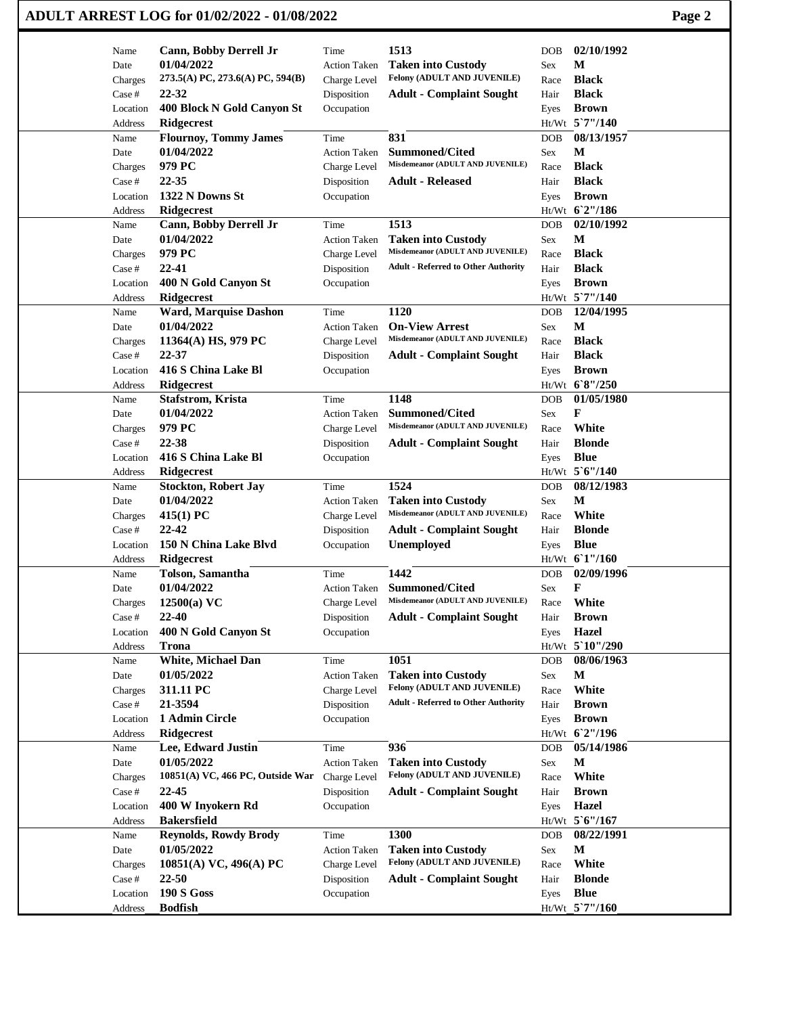| 1513<br>02/10/1992<br>Cann, Bobby Derrell Jr<br>Time<br><b>DOB</b><br>Name<br>01/04/2022<br><b>Taken into Custody</b><br>М<br>Date<br><b>Action Taken</b><br>Sex<br>Felony (ADULT AND JUVENILE)<br>273.5(A) PC, 273.6(A) PC, 594(B)<br><b>Black</b><br>Charge Level<br>Charges<br>Race<br>22-32<br><b>Black</b><br><b>Adult - Complaint Sought</b><br>Case #<br>Disposition<br>Hair<br>400 Block N Gold Canyon St<br><b>Brown</b><br>Location<br>Occupation<br>Eyes<br>Ht/Wt 5`7"/140<br><b>Ridgecrest</b><br>Address<br>831<br>08/13/1957<br><b>Flournoy, Tommy James</b><br>Time<br><b>DOB</b><br>Name<br>01/04/2022<br><b>Summoned/Cited</b><br>М<br>Date<br><b>Action Taken</b><br>Sex<br>Misdemeanor (ADULT AND JUVENILE)<br><b>Black</b><br>979 PC<br>Charges<br>Charge Level<br>Race<br>22-35<br><b>Black</b><br>Disposition<br><b>Adult - Released</b><br>Case #<br>Hair<br>1322 N Downs St<br>Occupation<br><b>Brown</b><br>Location<br>Eyes<br>Ht/Wt 6'2"/186<br>Ridgecrest<br>Address<br>1513<br>02/10/1992<br>Cann, Bobby Derrell Jr<br>Time<br><b>DOB</b><br>Name<br>M<br>01/04/2022<br>Date<br><b>Action Taken</b><br><b>Taken into Custody</b><br>Sex<br>Misdemeanor (ADULT AND JUVENILE)<br>979 PC<br><b>Black</b><br>Charge Level<br>Race<br>Charges<br>$22 - 41$<br><b>Adult - Referred to Other Authority</b><br><b>Black</b><br>Case #<br>Disposition<br>Hair<br>400 N Gold Canyon St<br><b>Brown</b><br>Location<br>Occupation<br>Eyes<br>Ht/Wt 5`7"/140<br><b>Ridgecrest</b><br>Address<br>12/04/1995<br>Ward, Marquise Dashon<br>1120<br>Time<br><b>DOB</b><br>Name<br>M<br>01/04/2022<br><b>On-View Arrest</b><br>Date<br><b>Action Taken</b><br>Sex<br>Misdemeanor (ADULT AND JUVENILE)<br><b>Black</b><br>11364(A) HS, 979 PC<br>Charge Level<br>Race<br>Charges<br>22-37<br><b>Black</b><br>Case #<br>Disposition<br><b>Adult - Complaint Sought</b><br>Hair<br>416 S China Lake Bl<br><b>Brown</b><br>Occupation<br>Location<br>Eyes<br>Ht/Wt 68"/250<br>Ridgecrest<br>Address<br>1148<br>01/05/1980<br><b>Stafstrom, Krista</b><br>Time<br><b>DOB</b><br>Name<br>01/04/2022<br><b>Summoned/Cited</b><br>F |  |
|----------------------------------------------------------------------------------------------------------------------------------------------------------------------------------------------------------------------------------------------------------------------------------------------------------------------------------------------------------------------------------------------------------------------------------------------------------------------------------------------------------------------------------------------------------------------------------------------------------------------------------------------------------------------------------------------------------------------------------------------------------------------------------------------------------------------------------------------------------------------------------------------------------------------------------------------------------------------------------------------------------------------------------------------------------------------------------------------------------------------------------------------------------------------------------------------------------------------------------------------------------------------------------------------------------------------------------------------------------------------------------------------------------------------------------------------------------------------------------------------------------------------------------------------------------------------------------------------------------------------------------------------------------------------------------------------------------------------------------------------------------------------------------------------------------------------------------------------------------------------------------------------------------------------------------------------------------------------------------------------------------------------------------------------------------------------------------------------------------------------------------------|--|
|                                                                                                                                                                                                                                                                                                                                                                                                                                                                                                                                                                                                                                                                                                                                                                                                                                                                                                                                                                                                                                                                                                                                                                                                                                                                                                                                                                                                                                                                                                                                                                                                                                                                                                                                                                                                                                                                                                                                                                                                                                                                                                                                        |  |
|                                                                                                                                                                                                                                                                                                                                                                                                                                                                                                                                                                                                                                                                                                                                                                                                                                                                                                                                                                                                                                                                                                                                                                                                                                                                                                                                                                                                                                                                                                                                                                                                                                                                                                                                                                                                                                                                                                                                                                                                                                                                                                                                        |  |
|                                                                                                                                                                                                                                                                                                                                                                                                                                                                                                                                                                                                                                                                                                                                                                                                                                                                                                                                                                                                                                                                                                                                                                                                                                                                                                                                                                                                                                                                                                                                                                                                                                                                                                                                                                                                                                                                                                                                                                                                                                                                                                                                        |  |
|                                                                                                                                                                                                                                                                                                                                                                                                                                                                                                                                                                                                                                                                                                                                                                                                                                                                                                                                                                                                                                                                                                                                                                                                                                                                                                                                                                                                                                                                                                                                                                                                                                                                                                                                                                                                                                                                                                                                                                                                                                                                                                                                        |  |
|                                                                                                                                                                                                                                                                                                                                                                                                                                                                                                                                                                                                                                                                                                                                                                                                                                                                                                                                                                                                                                                                                                                                                                                                                                                                                                                                                                                                                                                                                                                                                                                                                                                                                                                                                                                                                                                                                                                                                                                                                                                                                                                                        |  |
|                                                                                                                                                                                                                                                                                                                                                                                                                                                                                                                                                                                                                                                                                                                                                                                                                                                                                                                                                                                                                                                                                                                                                                                                                                                                                                                                                                                                                                                                                                                                                                                                                                                                                                                                                                                                                                                                                                                                                                                                                                                                                                                                        |  |
|                                                                                                                                                                                                                                                                                                                                                                                                                                                                                                                                                                                                                                                                                                                                                                                                                                                                                                                                                                                                                                                                                                                                                                                                                                                                                                                                                                                                                                                                                                                                                                                                                                                                                                                                                                                                                                                                                                                                                                                                                                                                                                                                        |  |
|                                                                                                                                                                                                                                                                                                                                                                                                                                                                                                                                                                                                                                                                                                                                                                                                                                                                                                                                                                                                                                                                                                                                                                                                                                                                                                                                                                                                                                                                                                                                                                                                                                                                                                                                                                                                                                                                                                                                                                                                                                                                                                                                        |  |
|                                                                                                                                                                                                                                                                                                                                                                                                                                                                                                                                                                                                                                                                                                                                                                                                                                                                                                                                                                                                                                                                                                                                                                                                                                                                                                                                                                                                                                                                                                                                                                                                                                                                                                                                                                                                                                                                                                                                                                                                                                                                                                                                        |  |
|                                                                                                                                                                                                                                                                                                                                                                                                                                                                                                                                                                                                                                                                                                                                                                                                                                                                                                                                                                                                                                                                                                                                                                                                                                                                                                                                                                                                                                                                                                                                                                                                                                                                                                                                                                                                                                                                                                                                                                                                                                                                                                                                        |  |
|                                                                                                                                                                                                                                                                                                                                                                                                                                                                                                                                                                                                                                                                                                                                                                                                                                                                                                                                                                                                                                                                                                                                                                                                                                                                                                                                                                                                                                                                                                                                                                                                                                                                                                                                                                                                                                                                                                                                                                                                                                                                                                                                        |  |
|                                                                                                                                                                                                                                                                                                                                                                                                                                                                                                                                                                                                                                                                                                                                                                                                                                                                                                                                                                                                                                                                                                                                                                                                                                                                                                                                                                                                                                                                                                                                                                                                                                                                                                                                                                                                                                                                                                                                                                                                                                                                                                                                        |  |
|                                                                                                                                                                                                                                                                                                                                                                                                                                                                                                                                                                                                                                                                                                                                                                                                                                                                                                                                                                                                                                                                                                                                                                                                                                                                                                                                                                                                                                                                                                                                                                                                                                                                                                                                                                                                                                                                                                                                                                                                                                                                                                                                        |  |
|                                                                                                                                                                                                                                                                                                                                                                                                                                                                                                                                                                                                                                                                                                                                                                                                                                                                                                                                                                                                                                                                                                                                                                                                                                                                                                                                                                                                                                                                                                                                                                                                                                                                                                                                                                                                                                                                                                                                                                                                                                                                                                                                        |  |
|                                                                                                                                                                                                                                                                                                                                                                                                                                                                                                                                                                                                                                                                                                                                                                                                                                                                                                                                                                                                                                                                                                                                                                                                                                                                                                                                                                                                                                                                                                                                                                                                                                                                                                                                                                                                                                                                                                                                                                                                                                                                                                                                        |  |
|                                                                                                                                                                                                                                                                                                                                                                                                                                                                                                                                                                                                                                                                                                                                                                                                                                                                                                                                                                                                                                                                                                                                                                                                                                                                                                                                                                                                                                                                                                                                                                                                                                                                                                                                                                                                                                                                                                                                                                                                                                                                                                                                        |  |
|                                                                                                                                                                                                                                                                                                                                                                                                                                                                                                                                                                                                                                                                                                                                                                                                                                                                                                                                                                                                                                                                                                                                                                                                                                                                                                                                                                                                                                                                                                                                                                                                                                                                                                                                                                                                                                                                                                                                                                                                                                                                                                                                        |  |
|                                                                                                                                                                                                                                                                                                                                                                                                                                                                                                                                                                                                                                                                                                                                                                                                                                                                                                                                                                                                                                                                                                                                                                                                                                                                                                                                                                                                                                                                                                                                                                                                                                                                                                                                                                                                                                                                                                                                                                                                                                                                                                                                        |  |
|                                                                                                                                                                                                                                                                                                                                                                                                                                                                                                                                                                                                                                                                                                                                                                                                                                                                                                                                                                                                                                                                                                                                                                                                                                                                                                                                                                                                                                                                                                                                                                                                                                                                                                                                                                                                                                                                                                                                                                                                                                                                                                                                        |  |
|                                                                                                                                                                                                                                                                                                                                                                                                                                                                                                                                                                                                                                                                                                                                                                                                                                                                                                                                                                                                                                                                                                                                                                                                                                                                                                                                                                                                                                                                                                                                                                                                                                                                                                                                                                                                                                                                                                                                                                                                                                                                                                                                        |  |
|                                                                                                                                                                                                                                                                                                                                                                                                                                                                                                                                                                                                                                                                                                                                                                                                                                                                                                                                                                                                                                                                                                                                                                                                                                                                                                                                                                                                                                                                                                                                                                                                                                                                                                                                                                                                                                                                                                                                                                                                                                                                                                                                        |  |
|                                                                                                                                                                                                                                                                                                                                                                                                                                                                                                                                                                                                                                                                                                                                                                                                                                                                                                                                                                                                                                                                                                                                                                                                                                                                                                                                                                                                                                                                                                                                                                                                                                                                                                                                                                                                                                                                                                                                                                                                                                                                                                                                        |  |
|                                                                                                                                                                                                                                                                                                                                                                                                                                                                                                                                                                                                                                                                                                                                                                                                                                                                                                                                                                                                                                                                                                                                                                                                                                                                                                                                                                                                                                                                                                                                                                                                                                                                                                                                                                                                                                                                                                                                                                                                                                                                                                                                        |  |
|                                                                                                                                                                                                                                                                                                                                                                                                                                                                                                                                                                                                                                                                                                                                                                                                                                                                                                                                                                                                                                                                                                                                                                                                                                                                                                                                                                                                                                                                                                                                                                                                                                                                                                                                                                                                                                                                                                                                                                                                                                                                                                                                        |  |
| Date<br><b>Action Taken</b><br>Sex                                                                                                                                                                                                                                                                                                                                                                                                                                                                                                                                                                                                                                                                                                                                                                                                                                                                                                                                                                                                                                                                                                                                                                                                                                                                                                                                                                                                                                                                                                                                                                                                                                                                                                                                                                                                                                                                                                                                                                                                                                                                                                     |  |
| Misdemeanor (ADULT AND JUVENILE)<br>979 PC<br>White<br>Charges<br>Charge Level<br>Race                                                                                                                                                                                                                                                                                                                                                                                                                                                                                                                                                                                                                                                                                                                                                                                                                                                                                                                                                                                                                                                                                                                                                                                                                                                                                                                                                                                                                                                                                                                                                                                                                                                                                                                                                                                                                                                                                                                                                                                                                                                 |  |
| 22-38<br><b>Adult - Complaint Sought</b><br><b>Blonde</b><br>Case #<br>Disposition<br>Hair                                                                                                                                                                                                                                                                                                                                                                                                                                                                                                                                                                                                                                                                                                                                                                                                                                                                                                                                                                                                                                                                                                                                                                                                                                                                                                                                                                                                                                                                                                                                                                                                                                                                                                                                                                                                                                                                                                                                                                                                                                             |  |
| 416 S China Lake Bl<br><b>Blue</b><br>Occupation<br>Location<br>Eyes                                                                                                                                                                                                                                                                                                                                                                                                                                                                                                                                                                                                                                                                                                                                                                                                                                                                                                                                                                                                                                                                                                                                                                                                                                                                                                                                                                                                                                                                                                                                                                                                                                                                                                                                                                                                                                                                                                                                                                                                                                                                   |  |
| Ht/Wt 5'6"/140<br>Ridgecrest<br>Address                                                                                                                                                                                                                                                                                                                                                                                                                                                                                                                                                                                                                                                                                                                                                                                                                                                                                                                                                                                                                                                                                                                                                                                                                                                                                                                                                                                                                                                                                                                                                                                                                                                                                                                                                                                                                                                                                                                                                                                                                                                                                                |  |
| 1524<br>08/12/1983<br><b>Stockton, Robert Jay</b><br>Time<br>Name<br><b>DOB</b>                                                                                                                                                                                                                                                                                                                                                                                                                                                                                                                                                                                                                                                                                                                                                                                                                                                                                                                                                                                                                                                                                                                                                                                                                                                                                                                                                                                                                                                                                                                                                                                                                                                                                                                                                                                                                                                                                                                                                                                                                                                        |  |
| 01/04/2022<br>M<br>Date<br><b>Action Taken</b><br><b>Taken into Custody</b><br>Sex                                                                                                                                                                                                                                                                                                                                                                                                                                                                                                                                                                                                                                                                                                                                                                                                                                                                                                                                                                                                                                                                                                                                                                                                                                                                                                                                                                                                                                                                                                                                                                                                                                                                                                                                                                                                                                                                                                                                                                                                                                                     |  |
| Misdemeanor (ADULT AND JUVENILE)<br>White<br>$415(1)$ PC<br>Charge Level<br>Race<br>Charges                                                                                                                                                                                                                                                                                                                                                                                                                                                                                                                                                                                                                                                                                                                                                                                                                                                                                                                                                                                                                                                                                                                                                                                                                                                                                                                                                                                                                                                                                                                                                                                                                                                                                                                                                                                                                                                                                                                                                                                                                                            |  |
| $22 - 42$<br><b>Blonde</b><br>Case #<br>Disposition<br><b>Adult - Complaint Sought</b><br>Hair                                                                                                                                                                                                                                                                                                                                                                                                                                                                                                                                                                                                                                                                                                                                                                                                                                                                                                                                                                                                                                                                                                                                                                                                                                                                                                                                                                                                                                                                                                                                                                                                                                                                                                                                                                                                                                                                                                                                                                                                                                         |  |
| 150 N China Lake Blvd<br>Unemployed<br><b>Blue</b><br>Location<br>Occupation<br>Eyes                                                                                                                                                                                                                                                                                                                                                                                                                                                                                                                                                                                                                                                                                                                                                                                                                                                                                                                                                                                                                                                                                                                                                                                                                                                                                                                                                                                                                                                                                                                                                                                                                                                                                                                                                                                                                                                                                                                                                                                                                                                   |  |
| Ht/Wt 61"/160<br>Address<br><b>Ridgecrest</b>                                                                                                                                                                                                                                                                                                                                                                                                                                                                                                                                                                                                                                                                                                                                                                                                                                                                                                                                                                                                                                                                                                                                                                                                                                                                                                                                                                                                                                                                                                                                                                                                                                                                                                                                                                                                                                                                                                                                                                                                                                                                                          |  |
| 1442<br>02/09/1996<br>Tolson, Samantha<br>Name<br>Time<br><b>DOB</b>                                                                                                                                                                                                                                                                                                                                                                                                                                                                                                                                                                                                                                                                                                                                                                                                                                                                                                                                                                                                                                                                                                                                                                                                                                                                                                                                                                                                                                                                                                                                                                                                                                                                                                                                                                                                                                                                                                                                                                                                                                                                   |  |
| 01/04/2022<br>Summoned/Cited<br>F<br>Sex<br>Date<br><b>Action Taken</b>                                                                                                                                                                                                                                                                                                                                                                                                                                                                                                                                                                                                                                                                                                                                                                                                                                                                                                                                                                                                                                                                                                                                                                                                                                                                                                                                                                                                                                                                                                                                                                                                                                                                                                                                                                                                                                                                                                                                                                                                                                                                |  |
| Misdemeanor (ADULT AND JUVENILE)<br>White<br>$12500(a)$ VC<br>Charge Level<br>Race<br>Charges                                                                                                                                                                                                                                                                                                                                                                                                                                                                                                                                                                                                                                                                                                                                                                                                                                                                                                                                                                                                                                                                                                                                                                                                                                                                                                                                                                                                                                                                                                                                                                                                                                                                                                                                                                                                                                                                                                                                                                                                                                          |  |
| 22-40<br><b>Brown</b><br>$\operatorname{Case}$ #<br>Disposition<br><b>Adult - Complaint Sought</b><br>Hair                                                                                                                                                                                                                                                                                                                                                                                                                                                                                                                                                                                                                                                                                                                                                                                                                                                                                                                                                                                                                                                                                                                                                                                                                                                                                                                                                                                                                                                                                                                                                                                                                                                                                                                                                                                                                                                                                                                                                                                                                             |  |
| <b>Hazel</b><br>400 N Gold Canyon St<br>Location<br>Occupation<br>Eyes                                                                                                                                                                                                                                                                                                                                                                                                                                                                                                                                                                                                                                                                                                                                                                                                                                                                                                                                                                                                                                                                                                                                                                                                                                                                                                                                                                                                                                                                                                                                                                                                                                                                                                                                                                                                                                                                                                                                                                                                                                                                 |  |
| Ht/Wt 5`10"/290<br><b>Trona</b><br>Address                                                                                                                                                                                                                                                                                                                                                                                                                                                                                                                                                                                                                                                                                                                                                                                                                                                                                                                                                                                                                                                                                                                                                                                                                                                                                                                                                                                                                                                                                                                                                                                                                                                                                                                                                                                                                                                                                                                                                                                                                                                                                             |  |
| 1051<br>White, Michael Dan<br>08/06/1963<br>Time<br><b>DOB</b><br>Name                                                                                                                                                                                                                                                                                                                                                                                                                                                                                                                                                                                                                                                                                                                                                                                                                                                                                                                                                                                                                                                                                                                                                                                                                                                                                                                                                                                                                                                                                                                                                                                                                                                                                                                                                                                                                                                                                                                                                                                                                                                                 |  |
| 01/05/2022<br>M<br><b>Taken into Custody</b><br>Date<br><b>Action Taken</b><br>Sex<br>Felony (ADULT AND JUVENILE)                                                                                                                                                                                                                                                                                                                                                                                                                                                                                                                                                                                                                                                                                                                                                                                                                                                                                                                                                                                                                                                                                                                                                                                                                                                                                                                                                                                                                                                                                                                                                                                                                                                                                                                                                                                                                                                                                                                                                                                                                      |  |
| 311.11 PC<br>White<br>Charge Level<br>Race<br>Charges<br><b>Adult - Referred to Other Authority</b>                                                                                                                                                                                                                                                                                                                                                                                                                                                                                                                                                                                                                                                                                                                                                                                                                                                                                                                                                                                                                                                                                                                                                                                                                                                                                                                                                                                                                                                                                                                                                                                                                                                                                                                                                                                                                                                                                                                                                                                                                                    |  |
| 21-3594<br>Disposition<br>Hair<br><b>Brown</b><br>Case #<br>1 Admin Circle                                                                                                                                                                                                                                                                                                                                                                                                                                                                                                                                                                                                                                                                                                                                                                                                                                                                                                                                                                                                                                                                                                                                                                                                                                                                                                                                                                                                                                                                                                                                                                                                                                                                                                                                                                                                                                                                                                                                                                                                                                                             |  |
| Occupation<br><b>Brown</b><br>Location<br>Eyes<br>Ht/Wt 6'2"/196                                                                                                                                                                                                                                                                                                                                                                                                                                                                                                                                                                                                                                                                                                                                                                                                                                                                                                                                                                                                                                                                                                                                                                                                                                                                                                                                                                                                                                                                                                                                                                                                                                                                                                                                                                                                                                                                                                                                                                                                                                                                       |  |
| <b>Ridgecrest</b><br>Address<br>936<br>Lee, Edward Justin<br>05/14/1986<br>Name                                                                                                                                                                                                                                                                                                                                                                                                                                                                                                                                                                                                                                                                                                                                                                                                                                                                                                                                                                                                                                                                                                                                                                                                                                                                                                                                                                                                                                                                                                                                                                                                                                                                                                                                                                                                                                                                                                                                                                                                                                                        |  |
| Time<br><b>DOB</b><br>01/05/2022<br>M<br><b>Taken into Custody</b><br>Date<br><b>Action Taken</b><br>Sex                                                                                                                                                                                                                                                                                                                                                                                                                                                                                                                                                                                                                                                                                                                                                                                                                                                                                                                                                                                                                                                                                                                                                                                                                                                                                                                                                                                                                                                                                                                                                                                                                                                                                                                                                                                                                                                                                                                                                                                                                               |  |
| Felony (ADULT AND JUVENILE)<br>10851(A) VC, 466 PC, Outside War<br>White<br>Charge Level<br>Race<br>Charges                                                                                                                                                                                                                                                                                                                                                                                                                                                                                                                                                                                                                                                                                                                                                                                                                                                                                                                                                                                                                                                                                                                                                                                                                                                                                                                                                                                                                                                                                                                                                                                                                                                                                                                                                                                                                                                                                                                                                                                                                            |  |
| 22-45<br>Disposition<br><b>Adult - Complaint Sought</b><br><b>Brown</b><br>Case #<br>Hair                                                                                                                                                                                                                                                                                                                                                                                                                                                                                                                                                                                                                                                                                                                                                                                                                                                                                                                                                                                                                                                                                                                                                                                                                                                                                                                                                                                                                                                                                                                                                                                                                                                                                                                                                                                                                                                                                                                                                                                                                                              |  |
| 400 W Inyokern Rd<br>Location<br>Occupation<br>Hazel<br>Eyes                                                                                                                                                                                                                                                                                                                                                                                                                                                                                                                                                                                                                                                                                                                                                                                                                                                                                                                                                                                                                                                                                                                                                                                                                                                                                                                                                                                                                                                                                                                                                                                                                                                                                                                                                                                                                                                                                                                                                                                                                                                                           |  |
| <b>Bakersfield</b><br>Ht/Wt 5'6"/167<br>Address                                                                                                                                                                                                                                                                                                                                                                                                                                                                                                                                                                                                                                                                                                                                                                                                                                                                                                                                                                                                                                                                                                                                                                                                                                                                                                                                                                                                                                                                                                                                                                                                                                                                                                                                                                                                                                                                                                                                                                                                                                                                                        |  |
| 1300<br>08/22/1991<br><b>Reynolds, Rowdy Brody</b><br>Name<br>Time<br><b>DOB</b>                                                                                                                                                                                                                                                                                                                                                                                                                                                                                                                                                                                                                                                                                                                                                                                                                                                                                                                                                                                                                                                                                                                                                                                                                                                                                                                                                                                                                                                                                                                                                                                                                                                                                                                                                                                                                                                                                                                                                                                                                                                       |  |
| 01/05/2022<br>M<br><b>Taken into Custody</b><br>Date<br><b>Action Taken</b><br>Sex                                                                                                                                                                                                                                                                                                                                                                                                                                                                                                                                                                                                                                                                                                                                                                                                                                                                                                                                                                                                                                                                                                                                                                                                                                                                                                                                                                                                                                                                                                                                                                                                                                                                                                                                                                                                                                                                                                                                                                                                                                                     |  |
| Felony (ADULT AND JUVENILE)<br>White<br>10851(A) VC, 496(A) PC<br>Charges<br>Charge Level<br>Race                                                                                                                                                                                                                                                                                                                                                                                                                                                                                                                                                                                                                                                                                                                                                                                                                                                                                                                                                                                                                                                                                                                                                                                                                                                                                                                                                                                                                                                                                                                                                                                                                                                                                                                                                                                                                                                                                                                                                                                                                                      |  |
| 22-50<br><b>Blonde</b><br>Disposition<br><b>Adult - Complaint Sought</b><br>Hair<br>Case #                                                                                                                                                                                                                                                                                                                                                                                                                                                                                                                                                                                                                                                                                                                                                                                                                                                                                                                                                                                                                                                                                                                                                                                                                                                                                                                                                                                                                                                                                                                                                                                                                                                                                                                                                                                                                                                                                                                                                                                                                                             |  |
| <b>190 S Goss</b><br><b>Blue</b><br>Location<br>Occupation<br>Eyes                                                                                                                                                                                                                                                                                                                                                                                                                                                                                                                                                                                                                                                                                                                                                                                                                                                                                                                                                                                                                                                                                                                                                                                                                                                                                                                                                                                                                                                                                                                                                                                                                                                                                                                                                                                                                                                                                                                                                                                                                                                                     |  |
| Ht/Wt 5`7"/160<br><b>Bodfish</b><br>Address                                                                                                                                                                                                                                                                                                                                                                                                                                                                                                                                                                                                                                                                                                                                                                                                                                                                                                                                                                                                                                                                                                                                                                                                                                                                                                                                                                                                                                                                                                                                                                                                                                                                                                                                                                                                                                                                                                                                                                                                                                                                                            |  |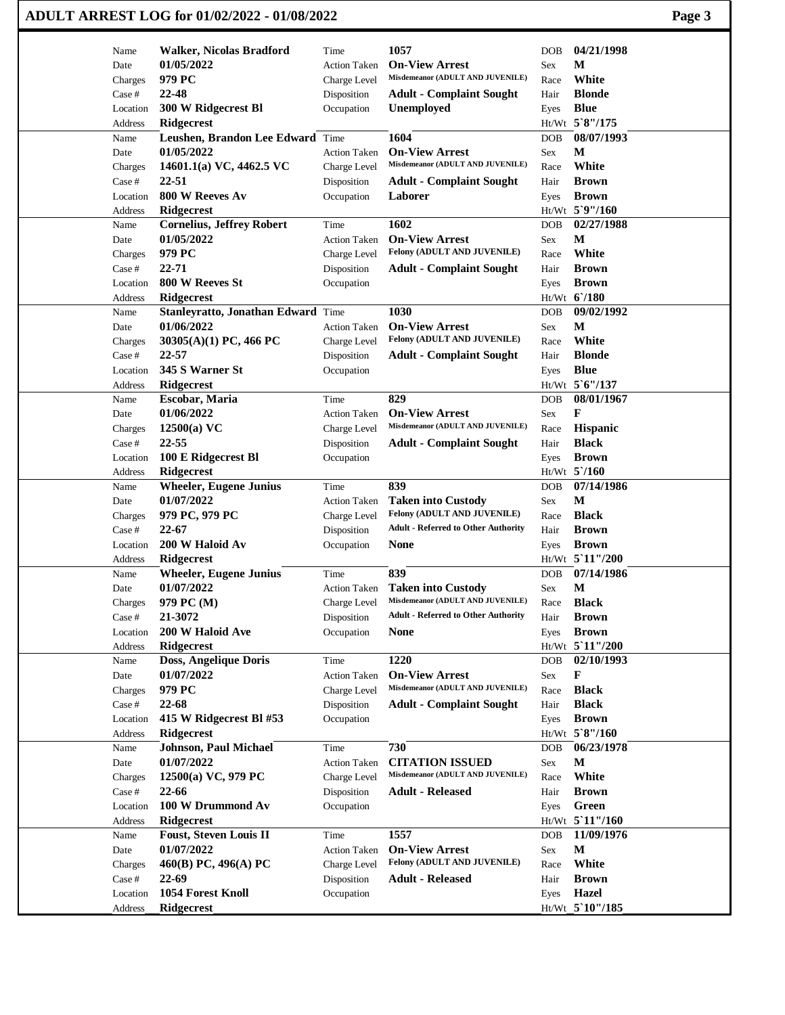| Name     | <b>Walker, Nicolas Bradford</b>             | Time                | 1057                                                     | <b>DOB</b> | 04/21/1998      |  |
|----------|---------------------------------------------|---------------------|----------------------------------------------------------|------------|-----------------|--|
| Date     | 01/05/2022                                  | <b>Action Taken</b> | <b>On-View Arrest</b>                                    | Sex        | M               |  |
| Charges  | 979 PC                                      | Charge Level        | Misdemeanor (ADULT AND JUVENILE)                         | Race       | White           |  |
| Case #   | 22-48                                       | Disposition         | <b>Adult - Complaint Sought</b>                          | Hair       | <b>Blonde</b>   |  |
| Location | 300 W Ridgecrest Bl                         | Occupation          | <b>Unemployed</b>                                        | Eyes       | <b>Blue</b>     |  |
| Address  | <b>Ridgecrest</b>                           |                     |                                                          |            | Ht/Wt 5`8"/175  |  |
| Name     | Leushen, Brandon Lee Edward                 | Time                | 1604                                                     | <b>DOB</b> | 08/07/1993      |  |
| Date     | 01/05/2022                                  | <b>Action Taken</b> | <b>On-View Arrest</b>                                    | Sex        | М               |  |
| Charges  | 14601.1(a) VC, 4462.5 VC                    | Charge Level        | Misdemeanor (ADULT AND JUVENILE)                         | Race       | White           |  |
| Case #   | 22-51                                       | Disposition         | <b>Adult - Complaint Sought</b>                          | Hair       | <b>Brown</b>    |  |
| Location | 800 W Reeves Av                             | Occupation          | Laborer                                                  | Eyes       | <b>Brown</b>    |  |
| Address  | <b>Ridgecrest</b>                           |                     |                                                          |            | Ht/Wt 5`9"/160  |  |
| Name     | <b>Cornelius, Jeffrey Robert</b>            | Time                | 1602                                                     | DOB        | 02/27/1988      |  |
| Date     | 01/05/2022                                  | <b>Action Taken</b> | <b>On-View Arrest</b>                                    | Sex        | M               |  |
| Charges  | 979 PC                                      | Charge Level        | Felony (ADULT AND JUVENILE)                              | Race       | White           |  |
| Case #   | $22 - 71$                                   | Disposition         | <b>Adult - Complaint Sought</b>                          | Hair       | <b>Brown</b>    |  |
| Location | 800 W Reeves St                             | Occupation          |                                                          | Eyes       | <b>Brown</b>    |  |
| Address  | <b>Ridgecrest</b>                           |                     |                                                          |            | Ht/Wt 6'/180    |  |
| Name     | Stanleyratto, Jonathan Edward Time          |                     | 1030                                                     | <b>DOB</b> | 09/02/1992      |  |
| Date     | 01/06/2022                                  | <b>Action Taken</b> | <b>On-View Arrest</b>                                    | Sex        | $\mathbf M$     |  |
| Charges  | $30305(A)(1)$ PC, 466 PC                    | Charge Level        | Felony (ADULT AND JUVENILE)                              | Race       | White           |  |
| Case #   | $22 - 57$                                   | Disposition         | <b>Adult - Complaint Sought</b>                          | Hair       | <b>Blonde</b>   |  |
| Location | 345 S Warner St                             | Occupation          |                                                          | Eyes       | <b>Blue</b>     |  |
| Address  | Ridgecrest                                  |                     |                                                          |            | Ht/Wt 5'6"/137  |  |
| Name     | Escobar, Maria                              | Time                | 829                                                      | <b>DOB</b> | 08/01/1967      |  |
| Date     | 01/06/2022                                  | <b>Action Taken</b> | <b>On-View Arrest</b>                                    | Sex        | F               |  |
| Charges  | $12500(a)$ VC                               | Charge Level        | Misdemeanor (ADULT AND JUVENILE)                         | Race       | Hispanic        |  |
| Case #   | 22-55                                       |                     |                                                          | Hair       | <b>Black</b>    |  |
|          |                                             | Disposition         | <b>Adult - Complaint Sought</b>                          |            | <b>Brown</b>    |  |
| Location | 100 E Ridgecrest Bl<br><b>Ridgecrest</b>    | Occupation          |                                                          | Eyes       | Ht/Wt 5'/160    |  |
| Address  |                                             |                     | 839                                                      |            | 07/14/1986      |  |
| Name     | <b>Wheeler, Eugene Junius</b><br>01/07/2022 | Time                |                                                          | <b>DOB</b> | M               |  |
| Date     |                                             | <b>Action Taken</b> | <b>Taken into Custody</b><br>Felony (ADULT AND JUVENILE) | Sex        |                 |  |
| Charges  | 979 PC, 979 PC                              | Charge Level        |                                                          | Race       | <b>Black</b>    |  |
| Case #   | $22 - 67$                                   | Disposition         | <b>Adult - Referred to Other Authority</b>               | Hair       | <b>Brown</b>    |  |
| Location | 200 W Haloid Av                             | Occupation          | None                                                     | Eyes       | <b>Brown</b>    |  |
| Address  | Ridgecrest                                  |                     |                                                          |            | Ht/Wt 5'11"/200 |  |
| Name     | <b>Wheeler, Eugene Junius</b>               | Time                | 839                                                      | <b>DOB</b> | 07/14/1986      |  |
| Date     | 01/07/2022                                  | <b>Action Taken</b> | <b>Taken into Custody</b>                                | Sex        | $\mathbf M$     |  |
| Charges  | 979 PC (M)                                  | Charge Level        | Misdemeanor (ADULT AND JUVENILE)                         | Race       | <b>Black</b>    |  |
| Case #   | 21-3072                                     | Disposition         | <b>Adult - Referred to Other Authority</b>               | Hair       | <b>Brown</b>    |  |
| Location | 200 W Haloid Ave                            | Occupation          | <b>None</b>                                              | Eyes       | <b>Brown</b>    |  |
| Address  | <b>Ridgecrest</b>                           |                     |                                                          |            | Ht/Wt 5'11"/200 |  |
| Name     | Doss, Angelique Doris                       | Time                | 1220                                                     | <b>DOB</b> | 02/10/1993      |  |
| Date     | 01/07/2022                                  | <b>Action Taken</b> | <b>On-View Arrest</b>                                    | Sex        | F               |  |
| Charges  | 979 PC                                      | Charge Level        | Misdemeanor (ADULT AND JUVENILE)                         | Race       | <b>Black</b>    |  |
| Case #   | 22-68                                       | Disposition         | <b>Adult - Complaint Sought</b>                          | Hair       | <b>Black</b>    |  |
| Location | 415 W Ridgecrest Bl #53                     | Occupation          |                                                          | Eyes       | <b>Brown</b>    |  |
| Address  | <b>Ridgecrest</b>                           |                     |                                                          |            | Ht/Wt 5`8"/160  |  |
| Name     | Johnson, Paul Michael                       | Time                | 730                                                      | DOB        | 06/23/1978      |  |
| Date     | 01/07/2022                                  | <b>Action Taken</b> | <b>CITATION ISSUED</b>                                   | Sex        | $\mathbf{M}$    |  |
| Charges  | 12500(a) VC, 979 PC                         | Charge Level        | Misdemeanor (ADULT AND JUVENILE)                         | Race       | White           |  |
| Case #   | 22-66                                       | Disposition         | <b>Adult - Released</b>                                  | Hair       | <b>Brown</b>    |  |
| Location | 100 W Drummond Av                           | Occupation          |                                                          | Eyes       | Green           |  |
| Address  | <b>Ridgecrest</b>                           |                     |                                                          |            | Ht/Wt 5'11"/160 |  |
| Name     | <b>Foust, Steven Louis II</b>               | Time                | 1557                                                     | <b>DOB</b> | 11/09/1976      |  |
| Date     | 01/07/2022                                  | <b>Action Taken</b> | <b>On-View Arrest</b>                                    | Sex        | $\mathbf{M}$    |  |
| Charges  | 460(B) PC, 496(A) PC                        | Charge Level        | Felony (ADULT AND JUVENILE)                              | Race       | White           |  |
| Case #   | 22-69                                       | Disposition         | <b>Adult - Released</b>                                  | Hair       | <b>Brown</b>    |  |
|          |                                             |                     |                                                          |            |                 |  |
| Location | 1054 Forest Knoll                           | Occupation          |                                                          | Eyes       | <b>Hazel</b>    |  |